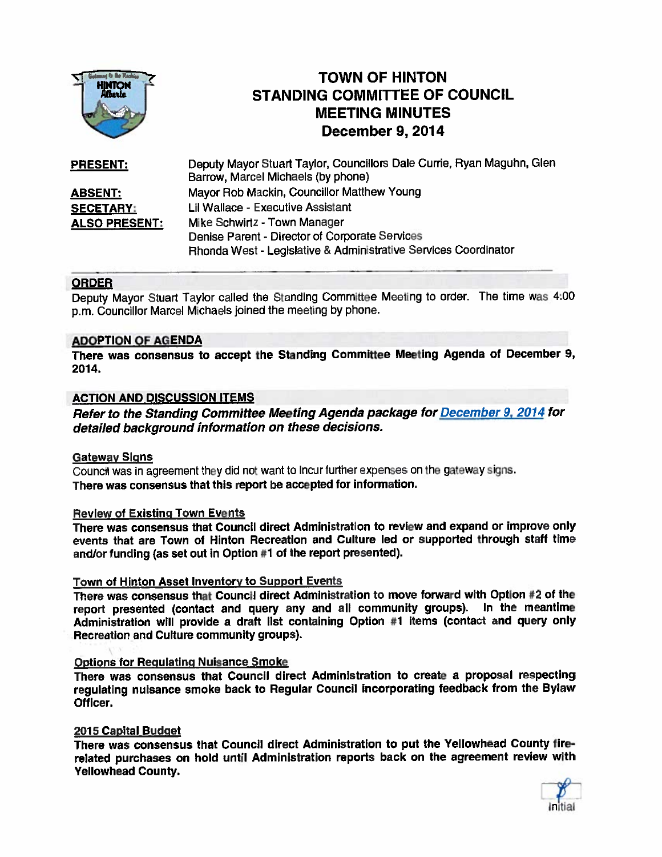

# TOWN OF HINTON STANDING COMMITTEE OF COUNCIL MEETING MINUTES December 9, 2014

| <b>PRESENT:</b>      | Deputy Mayor Stuart Taylor, Councillors Dale Currie, Ryan Maguhn, Glen |
|----------------------|------------------------------------------------------------------------|
|                      | Barrow, Marcel Michaels (by phone)                                     |
| <b>ABSENT:</b>       | Mayor Rob Mackin, Councillor Matthew Young                             |
| <b>SECETARY:</b>     | Lil Wallace - Executive Assistant                                      |
| <b>ALSO PRESENT:</b> | Mike Schwirtz - Town Manager                                           |
|                      | Denise Parent - Director of Corporate Services                         |
|                      | Rhonda West - Legislative & Administrative Services Coordinator        |

### **ORDER**

Deputy Mayor Stuart Taylor called the Standing Committee Meeting to order. The time was 4:00 p.m. Councillor Marcel Michaels joined the meeting by <sup>p</sup>hone.

### ADOPTION OF AGENDA

There was consensus to accep<sup>t</sup> the Standing Committee Meeting Agenda of December 9, 2014.

## ACTION AND DISCUSSION ITEMS

Refer to the Standing Committee Meeting Agenda package for <u>December 9, 2014</u> for detailed background information on these decisions.

#### **Gateway Signs**

Council was in agreemen<sup>t</sup> they did not want to incur further expenses on the gateway signs. There was consensus that this repor<sup>t</sup> be accepted for information.

#### Review of Existing Town Events

There was consensus that Council direct Administration to review and expand or improve only events that are Town of Hinton Recreation and Culture led or supported through staff time and/or funding (as set out in Option #1 of the report presented).

#### Town of Hinton Asset Inventory to Support Events

There was consensus that Council direct Administration to move forward with Option #2 of the repor<sup>t</sup> presented (contact and query any and all community groups). In the meantime Administration will provide <sup>a</sup> draft list containing Option #1 items (contact and query only Recreation and Cufture community groups).

### Options for Regulating Nuisance Smoke

There was consensus that Council direct Administration to create <sup>a</sup> proposa<sup>l</sup> respecting regulating nuisance smoke back to Regular Council incorporating feedback from the Bylaw Officer.

#### 2015 Capital Budget

There was consensus that Council direct Administration to pu<sup>t</sup> the Yellowhead County fire related purchases on hold until Administration reports back on the agreemen<sup>t</sup> review with Yellowhead County.